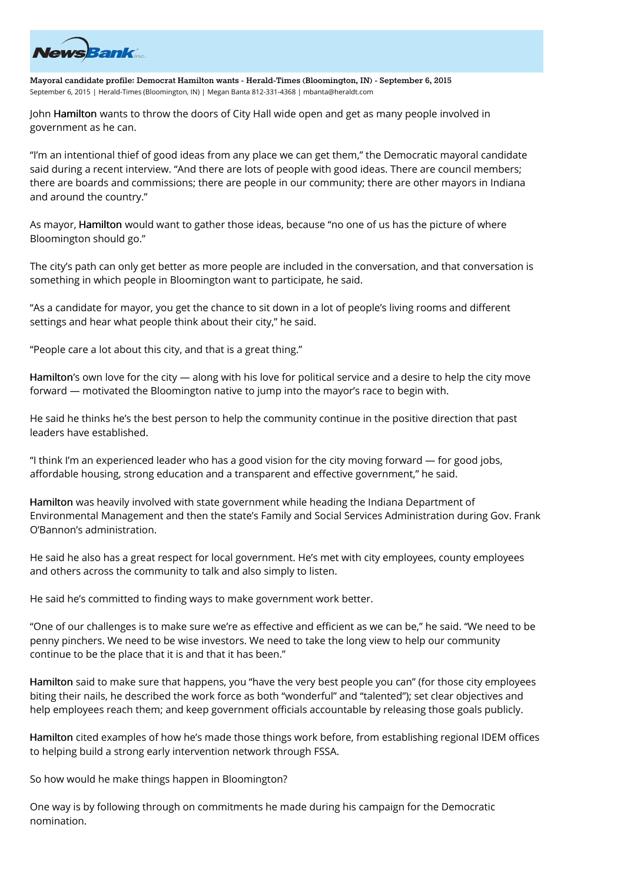

**Mayoral candidate profile: Democrat Hamilton wants - Herald-Times (Bloomington, IN) - September 6, 2015** September 6, 2015 | Herald-Times (Bloomington, IN) | Megan Banta 812-331-4368 | mbanta@heraldt.com

John Hamilton wants to throw the doors of City Hall wide open and get as many people involved in government as he can.

"I'm an intentional thief of good ideas from any place we can get them," the Democratic mayoral candidate said during a recent interview. "And there are lots of people with good ideas. There are council members; there are boards and commissions; there are people in our community; there are other mayors in Indiana and around the country."

As mayor, Hamilton would want to gather those ideas, because "no one of us has the picture of where Bloomington should go."

The city's path can only get better as more people are included in the conversation, and that conversation is something in which people in Bloomington want to participate, he said.

"As a candidate for mayor, you get the chance to sit down in a lot of people's living rooms and different settings and hear what people think about their city," he said.

"People care a lot about this city, and that is a great thing."

Hamilton's own love for the city — along with his love for political service and a desire to help the city move forward — motivated the Bloomington native to jump into the mayor's race to begin with.

He said he thinks he's the best person to help the community continue in the positive direction that past leaders have established.

"I think I'm an experienced leader who has a good vision for the city moving forward — for good jobs, affordable housing, strong education and a transparent and effective government," he said.

Hamilton was heavily involved with state government while heading the Indiana Department of Environmental Management and then the state's Family and Social Services Administration during Gov. Frank O'Bannon's administration.

He said he also has a great respect for local government. He's met with city employees, county employees and others across the community to talk and also simply to listen.

He said he's committed to finding ways to make government work better.

"One of our challenges is to make sure we're as effective and efficient as we can be," he said. "We need to be penny pinchers. We need to be wise investors. We need to take the long view to help our community continue to be the place that it is and that it has been."

Hamilton said to make sure that happens, you "have the very best people you can" (for those city employees biting their nails, he described the work force as both "wonderful" and "talented"); set clear objectives and help employees reach them; and keep government officials accountable by releasing those goals publicly.

Hamilton cited examples of how he's made those things work before, from establishing regional IDEM offices to helping build a strong early intervention network through FSSA.

So how would he make things happen in Bloomington?

One way is by following through on commitments he made during his campaign for the Democratic nomination.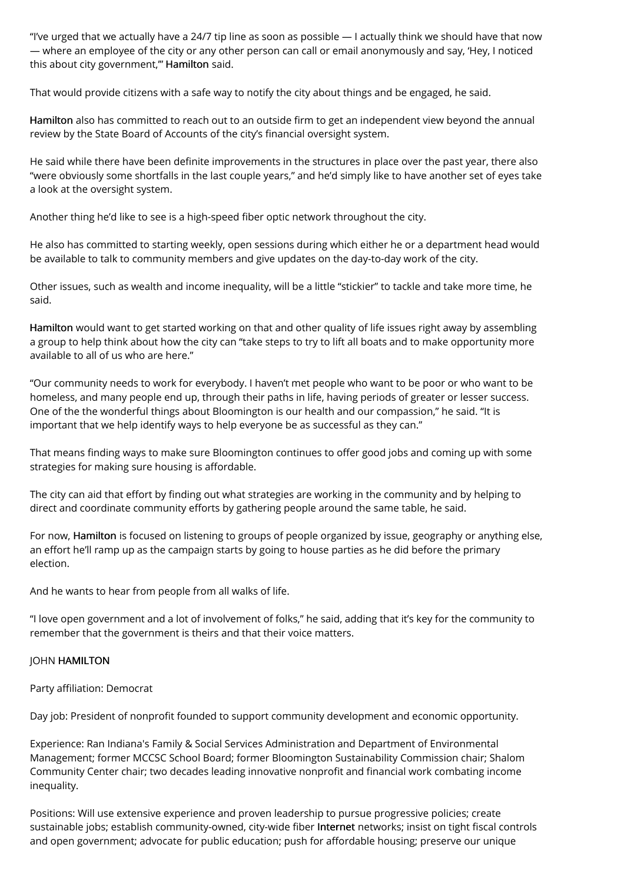"I've urged that we actually have a 24/7 tip line as soon as possible — I actually think we should have that now — where an employee of the city or any other person can call or email anonymously and say, 'Hey, I noticed this about city government," Hamilton said.

That would provide citizens with a safe way to notify the city about things and be engaged, he said.

Hamilton also has committed to reach out to an outside firm to get an independent view beyond the annual review by the State Board of Accounts of the city's financial oversight system.

He said while there have been definite improvements in the structures in place over the past year, there also "were obviously some shortfalls in the last couple years," and he'd simply like to have another set of eyes take a look at the oversight system.

Another thing he'd like to see is a high-speed fiber optic network throughout the city.

He also has committed to starting weekly, open sessions during which either he or a department head would be available to talk to community members and give updates on the day-to-day work of the city.

Other issues, such as wealth and income inequality, will be a little "stickier" to tackle and take more time, he said.

Hamilton would want to get started working on that and other quality of life issues right away by assembling a group to help think about how the city can "take steps to try to lift all boats and to make opportunity more available to all of us who are here."

"Our community needs to work for everybody. I haven't met people who want to be poor or who want to be homeless, and many people end up, through their paths in life, having periods of greater or lesser success. One of the the wonderful things about Bloomington is our health and our compassion," he said. "It is important that we help identify ways to help everyone be as successful as they can."

That means finding ways to make sure Bloomington continues to offer good jobs and coming up with some strategies for making sure housing is affordable.

The city can aid that effort by finding out what strategies are working in the community and by helping to direct and coordinate community efforts by gathering people around the same table, he said.

For now, Hamilton is focused on listening to groups of people organized by issue, geography or anything else, an effort he'll ramp up as the campaign starts by going to house parties as he did before the primary election.

And he wants to hear from people from all walks of life.

"I love open government and a lot of involvement of folks," he said, adding that it's key for the community to remember that the government is theirs and that their voice matters.

## JOHN HAMILTON

Party affiliation: Democrat

Day job: President of nonprofit founded to support community development and economic opportunity.

Experience: Ran Indiana's Family & Social Services Administration and Department of Environmental Management; former MCCSC School Board; former Bloomington Sustainability Commission chair; Shalom Community Center chair; two decades leading innovative nonprofit and financial work combating income inequality.

Positions: Will use extensive experience and proven leadership to pursue progressive policies; create sustainable jobs; establish community-owned, city-wide fiber Internet networks; insist on tight fiscal controls and open government; advocate for public education; push for affordable housing; preserve our unique